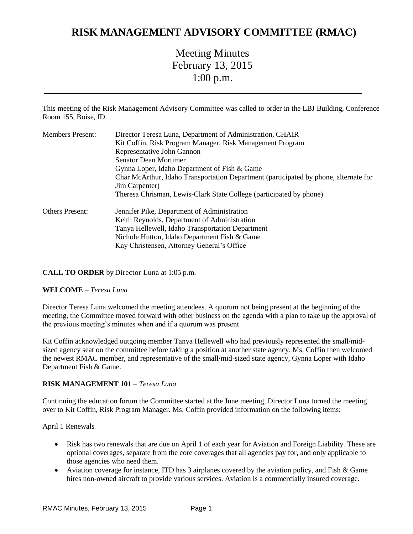## **RISK MANAGEMENT ADVISORY COMMITTEE (RMAC)**

# Meeting Minutes February 13, 2015 1:00 p.m.

This meeting of the Risk Management Advisory Committee was called to order in the LBJ Building, Conference Room 155, Boise, ID.

| <b>Members Present:</b> | Director Teresa Luna, Department of Administration, CHAIR                            |
|-------------------------|--------------------------------------------------------------------------------------|
|                         | Kit Coffin, Risk Program Manager, Risk Management Program                            |
|                         | Representative John Gannon                                                           |
|                         | <b>Senator Dean Mortimer</b>                                                         |
|                         | Gynna Loper, Idaho Department of Fish & Game                                         |
|                         | Char McArthur, Idaho Transportation Department (participated by phone, alternate for |
|                         | Jim Carpenter)                                                                       |
|                         | Theresa Chrisman, Lewis-Clark State College (participated by phone)                  |
| <b>Others Present:</b>  | Jennifer Pike, Department of Administration                                          |
|                         | Keith Reynolds, Department of Administration                                         |
|                         | Tanya Hellewell, Idaho Transportation Department                                     |
|                         | Nichole Hutton, Idaho Department Fish & Game                                         |
|                         | Kay Christensen, Attorney General's Office                                           |

## **CALL TO ORDER** by Director Luna at 1:05 p.m.

#### **WELCOME** – *Teresa Luna*

Director Teresa Luna welcomed the meeting attendees. A quorum not being present at the beginning of the meeting, the Committee moved forward with other business on the agenda with a plan to take up the approval of the previous meeting's minutes when and if a quorum was present.

Kit Coffin acknowledged outgoing member Tanya Hellewell who had previously represented the small/midsized agency seat on the committee before taking a position at another state agency. Ms. Coffin then welcomed the newest RMAC member, and representative of the small/mid-sized state agency, Gynna Loper with Idaho Department Fish & Game.

#### **RISK MANAGEMENT 101** – *Teresa Luna*

Continuing the education forum the Committee started at the June meeting, Director Luna turned the meeting over to Kit Coffin, Risk Program Manager. Ms. Coffin provided information on the following items:

#### April 1 Renewals

- Risk has two renewals that are due on April 1 of each year for Aviation and Foreign Liability. These are optional coverages, separate from the core coverages that all agencies pay for, and only applicable to those agencies who need them.
- Aviation coverage for instance, ITD has 3 airplanes covered by the aviation policy, and Fish & Game hires non-owned aircraft to provide various services. Aviation is a commercially insured coverage.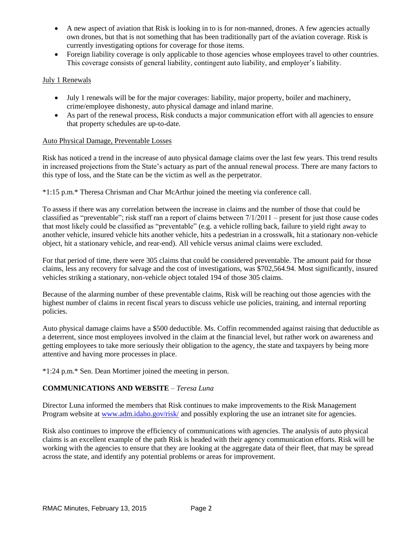- A new aspect of aviation that Risk is looking in to is for non-manned, drones. A few agencies actually own drones, but that is not something that has been traditionally part of the aviation coverage. Risk is currently investigating options for coverage for those items.
- Foreign liability coverage is only applicable to those agencies whose employees travel to other countries. This coverage consists of general liability, contingent auto liability, and employer's liability.

### July 1 Renewals

- July 1 renewals will be for the major coverages: liability, major property, boiler and machinery, crime/employee dishonesty, auto physical damage and inland marine.
- As part of the renewal process, Risk conducts a major communication effort with all agencies to ensure that property schedules are up-to-date.

#### Auto Physical Damage, Preventable Losses

Risk has noticed a trend in the increase of auto physical damage claims over the last few years. This trend results in increased projections from the State's actuary as part of the annual renewal process. There are many factors to this type of loss, and the State can be the victim as well as the perpetrator.

\*1:15 p.m.\* Theresa Chrisman and Char McArthur joined the meeting via conference call.

To assess if there was any correlation between the increase in claims and the number of those that could be classified as "preventable"; risk staff ran a report of claims between 7/1/2011 – present for just those cause codes that most likely could be classified as "preventable" (e.g. a vehicle rolling back, failure to yield right away to another vehicle, insured vehicle hits another vehicle, hits a pedestrian in a crosswalk, hit a stationary non-vehicle object, hit a stationary vehicle, and rear-end). All vehicle versus animal claims were excluded.

For that period of time, there were 305 claims that could be considered preventable. The amount paid for those claims, less any recovery for salvage and the cost of investigations, was \$702,564.94. Most significantly, insured vehicles striking a stationary, non-vehicle object totaled 194 of those 305 claims.

Because of the alarming number of these preventable claims, Risk will be reaching out those agencies with the highest number of claims in recent fiscal years to discuss vehicle use policies, training, and internal reporting policies.

Auto physical damage claims have a \$500 deductible. Ms. Coffin recommended against raising that deductible as a deterrent, since most employees involved in the claim at the financial level, but rather work on awareness and getting employees to take more seriously their obligation to the agency, the state and taxpayers by being more attentive and having more processes in place.

\*1:24 p.m.\* Sen. Dean Mortimer joined the meeting in person.

## **COMMUNICATIONS AND WEBSITE** – *Teresa Luna*

Director Luna informed the members that Risk continues to make improvements to the Risk Management Program website at [www.adm.idaho.gov/risk/](http://www.adm.idaho.gov/risk/) and possibly exploring the use an intranet site for agencies.

Risk also continues to improve the efficiency of communications with agencies. The analysis of auto physical claims is an excellent example of the path Risk is headed with their agency communication efforts. Risk will be working with the agencies to ensure that they are looking at the aggregate data of their fleet, that may be spread across the state, and identify any potential problems or areas for improvement.